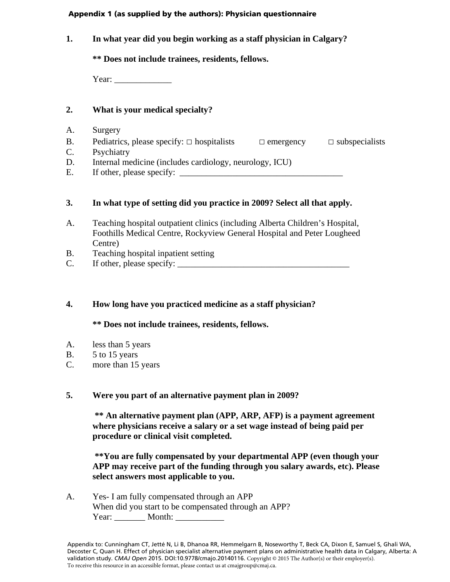#### Appendix 1 (as supplied by the authors): Physician questionnaire

**1. In what year did you begin working as a staff physician in Calgary?**

**\*\* Does not include trainees, residents, fellows.**

Year: \_\_\_\_\_\_\_\_\_\_\_\_\_

## **2. What is your medical specialty?**

- A. Surgery
- B. Pediatrics, please specify:  $\Box$  hospitalists  $\Box$  emergency  $\Box$  subspecialists
- C. Psychiatry
- D. Internal medicine (includes cardiology, neurology, ICU)
- E. If other, please specify: \_\_\_\_\_\_\_\_\_\_\_\_\_\_\_\_\_\_\_\_\_\_\_\_\_\_\_\_\_\_\_\_\_\_\_\_\_

# **3. In what type of setting did you practice in 2009? Select all that apply.**

- A. Teaching hospital outpatient clinics (including Alberta Children's Hospital, Foothills Medical Centre, Rockyview General Hospital and Peter Lougheed Centre)
- B. Teaching hospital inpatient setting
- $C.$  If other, please specify:

## **4. How long have you practiced medicine as a staff physician?**

## **\*\* Does not include trainees, residents, fellows.**

- A. less than 5 years
- B. 5 to 15 years
- C. more than 15 years

## **5. Were you part of an alternative payment plan in 2009?**

**\*\* An alternative payment plan (APP, ARP, AFP) is a payment agreement where physicians receive a salary or a set wage instead of being paid per procedure or clinical visit completed.**

**\*\*You are fully compensated by your departmental APP (even though your APP may receive part of the funding through you salary awards, etc). Please select answers most applicable to you.**

A. Yes- I am fully compensated through an APP When did you start to be compensated through an APP? Year: Month: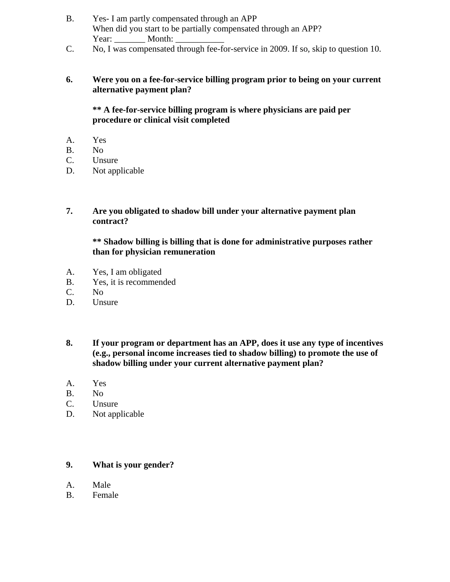- B. Yes- I am partly compensated through an APP When did you start to be partially compensated through an APP? Year: Month:
- C. No, I was compensated through fee-for-service in 2009. If so, skip to question 10.

## **6. Were you on a fee-for-service billing program prior to being on your current alternative payment plan?**

## **\*\* A fee-for-service billing program is where physicians are paid per procedure or clinical visit completed**

- A. Yes
- B. No
- C. Unsure
- D. Not applicable

## **7. Are you obligated to shadow bill under your alternative payment plan contract?**

#### **\*\* Shadow billing is billing that is done for administrative purposes rather than for physician remuneration**

- A. Yes, I am obligated
- B. Yes, it is recommended
- C. No
- D. Unsure
- **8. If your program or department has an APP, does it use any type of incentives (e.g., personal income increases tied to shadow billing) to promote the use of shadow billing under your current alternative payment plan?**
- A. Yes
- B. No
- C. Unsure
- D. Not applicable

## **9. What is your gender?**

- A. Male
- B. Female